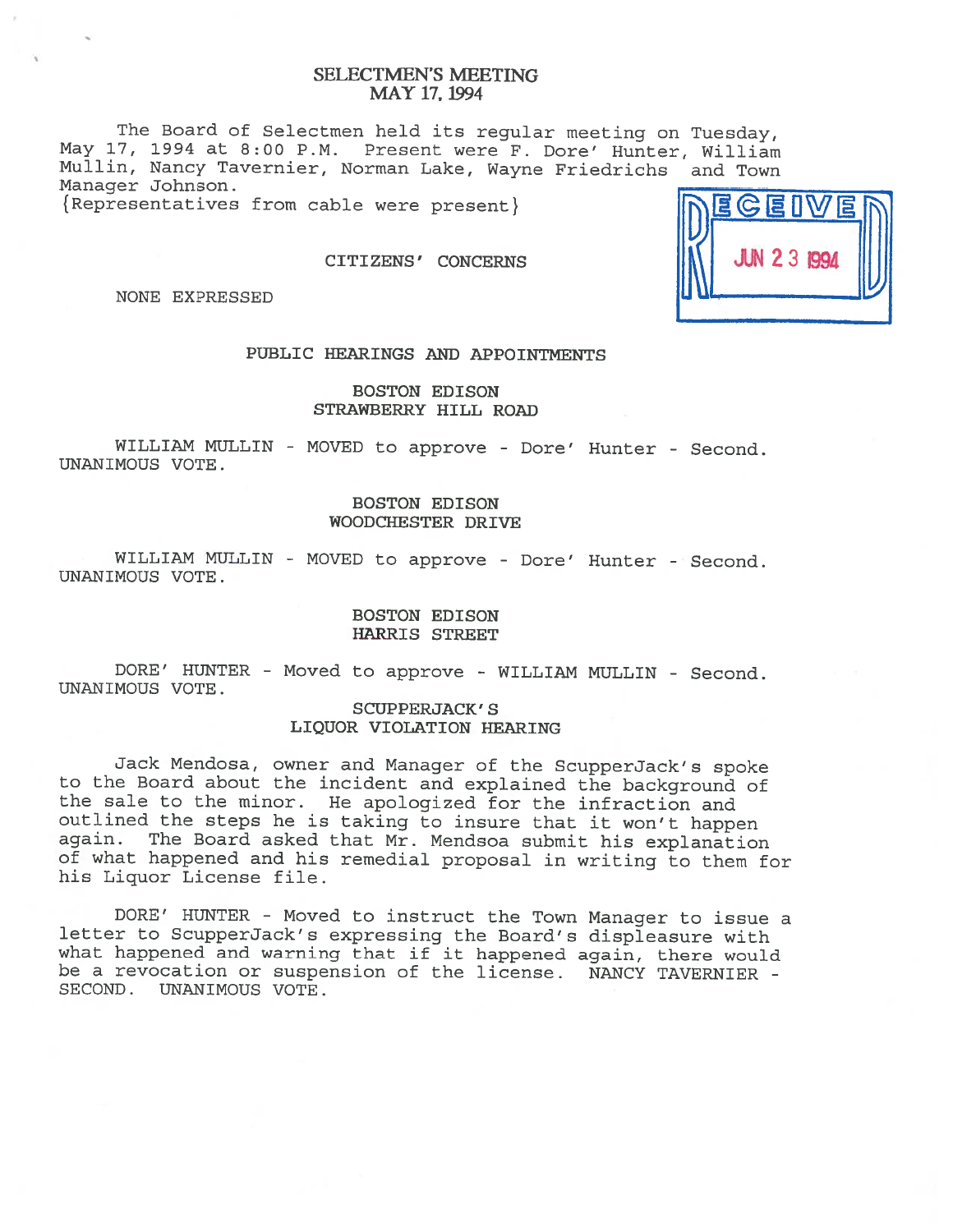# SELECTMEN'S MEETING MAY 17, 1994

The Board of Selectmen held its regular meeting on Tuesday, May 17, <sup>1994</sup> at 8:00 P.M. Present were F. Dore' Hunter, William Mullin, Nancy Tavernier, Norman Lake, Wayne Friedrichs and Town Manager Johnson.

{ Representatives from cable were present}

CITIZENS' CONCERNS

NONE EXPRESSED

# PUBLIC HEARINGS AND APPOINTMENTS

## BOSTON EDISON STRAWBERRY HILL ROAD

WILLIAM MULLIN - MOVED to approve - Dore' Hunter - Second. UNANIMOUS VOTE.

## BOSTON EDISON WOODCHESTER DRIVE

WILLIAM MULLIN - MOVED to approve - Dore' Hunter - Second. UNANIMOUS VOTE.

## BOSTON EDISON HARRIS STREET

DORE' HUNTER - Moved to approve - WILLIAM MULLIN - Second. UNANIMOUS VOTE.

## SCUPPERJACK' S LIQUOR VIOLATION HEARING

Jack Mendosa, owner and Manager of the ScupperJack's spoke to the Board about the incident and explained the background of the sale to the minor. He apologized for the infraction and outlined the steps he is taking to insure that it won't happen<br>again. The Board asked that Mr. Mendsoa submit his explanation The Board asked that Mr. Mendsoa submit his explanation of what happened and his remedial proposal in writing to them for his Liquor License file.

DORE' HUNTER - Moved to instruct the Town Manager to issue <sup>a</sup> letter to ScupperJack's expressing the Board's displeasure with what happened and warning that if it happened again, there would be <sup>a</sup> revocation or suspension of the license. NANCY TAVERNIER - SECOND. UNANIMOUS VOTE.

| DEGEIVED |  |
|----------|--|
|          |  |
|          |  |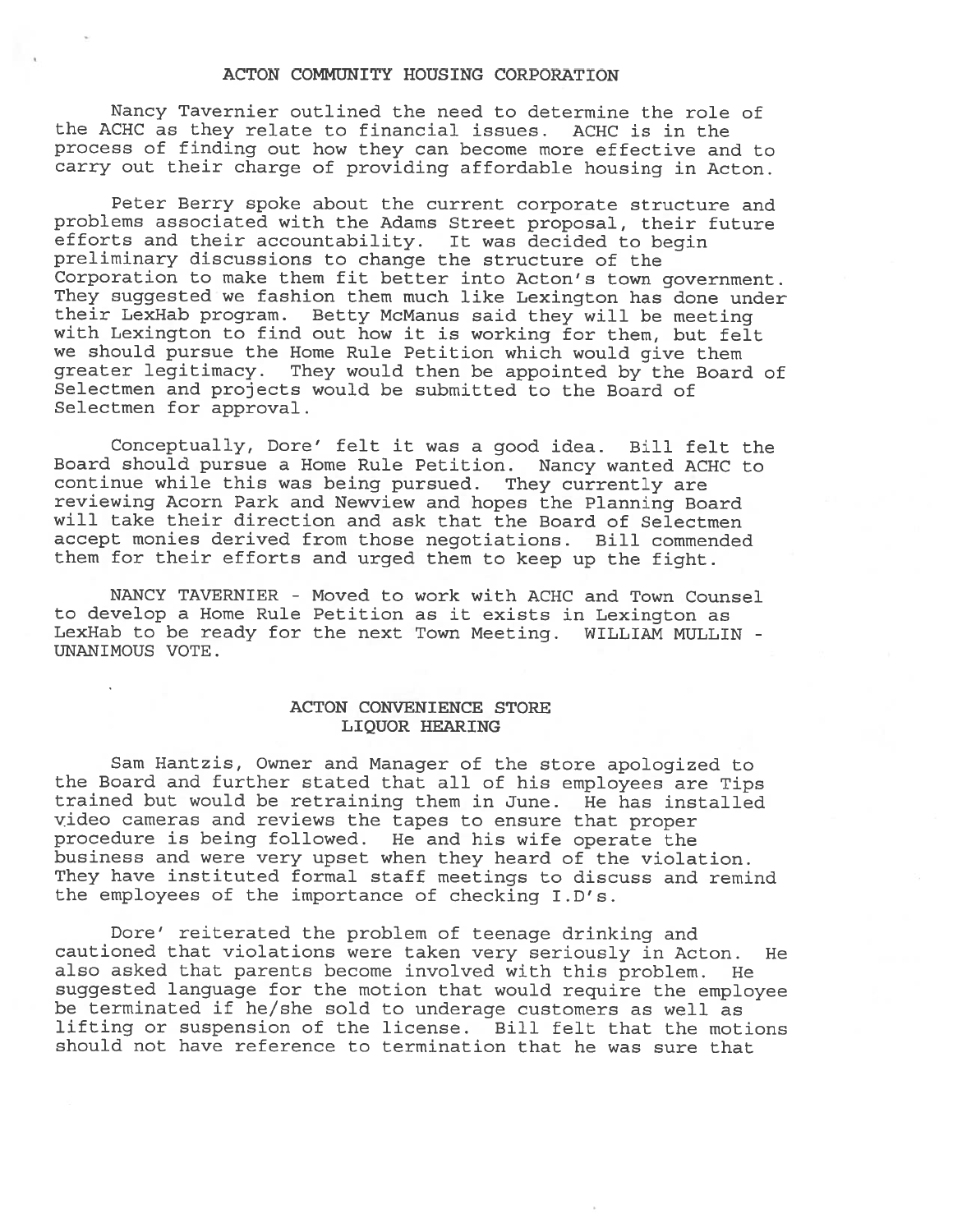#### ACTON COMMUNITY HOUSING CORPORATION

Nancy Tavernier outlined the need to determine the role of the ACHC as they relate to financial issues. ACHC is in the process of finding out how they can become more effective and to carry out their charge of providing affordable housing in Acton.

Peter Berry spoke about the current corporate structure and problems associated with the Adams Street proposal, their future efforts and their accountability. It was decided to begin preliminary discussions to change the structure of the Corporation to make them fit better into Acton's town government. They suggested we fashion them much like Lexington has done under their LexHab program. Betty McManus said they will be meeting with Lexington to find out how it is working for them, but felt we should pursue the Home Rule Petition which would <sup>g</sup>ive them greater legitimacy. They would then be appointed by the Board of Selectmen and projects would be submitted to the Board of Selectmen for approval.

Conceptually, Bore' felt it was <sup>a</sup> good idea. Bill felt the Board should pursue <sup>a</sup> Home Rule Petition. Nancy wanted ACHC to continue while this was being pursued. They currently are reviewing Acorn Park and Newview and hopes the Planning Board will take their direction and ask that the Board of Selectmen accep<sup>t</sup> monies derived from those negotiations. Bill commended them for their efforts and urge<sup>d</sup> them to keep up the fight.

NANCY TAVERNIER - Moved to work with ACHC and Town Counsel to develop <sup>a</sup> Home Rule Petition as it exists in Lexington as LexHab to be ready for the next Town Meeting. WILLIAM MULLIN - UNANIMOUS VOTE.

## ACTON CONVENIENCE STORE LIQUOR HEARING

Sam Hantzis, Owner and Manager of the store apologized to the Board and further stated that all of his employees are Tips trained but would be retraining them in June. He has installed video cameras and reviews the tapes to ensure that proper procedure is being followed. He and his wife operate the business and were very upse<sup>t</sup> when they heard of the violation. They have instituted formal staff meetings to discuss and remind the employees of the importance of checking I.D's.

Bore' reiterated the problem of teenage drinking and cautioned that violations were taken very seriously in Acton. He also asked that parents become involved with this problem. He suggested language for the motion that would require the employee be terminated if he/she sold to underage customers as well as lifting or suspension of the license. Bill felt that the motions should not have reference to termination that he was sure that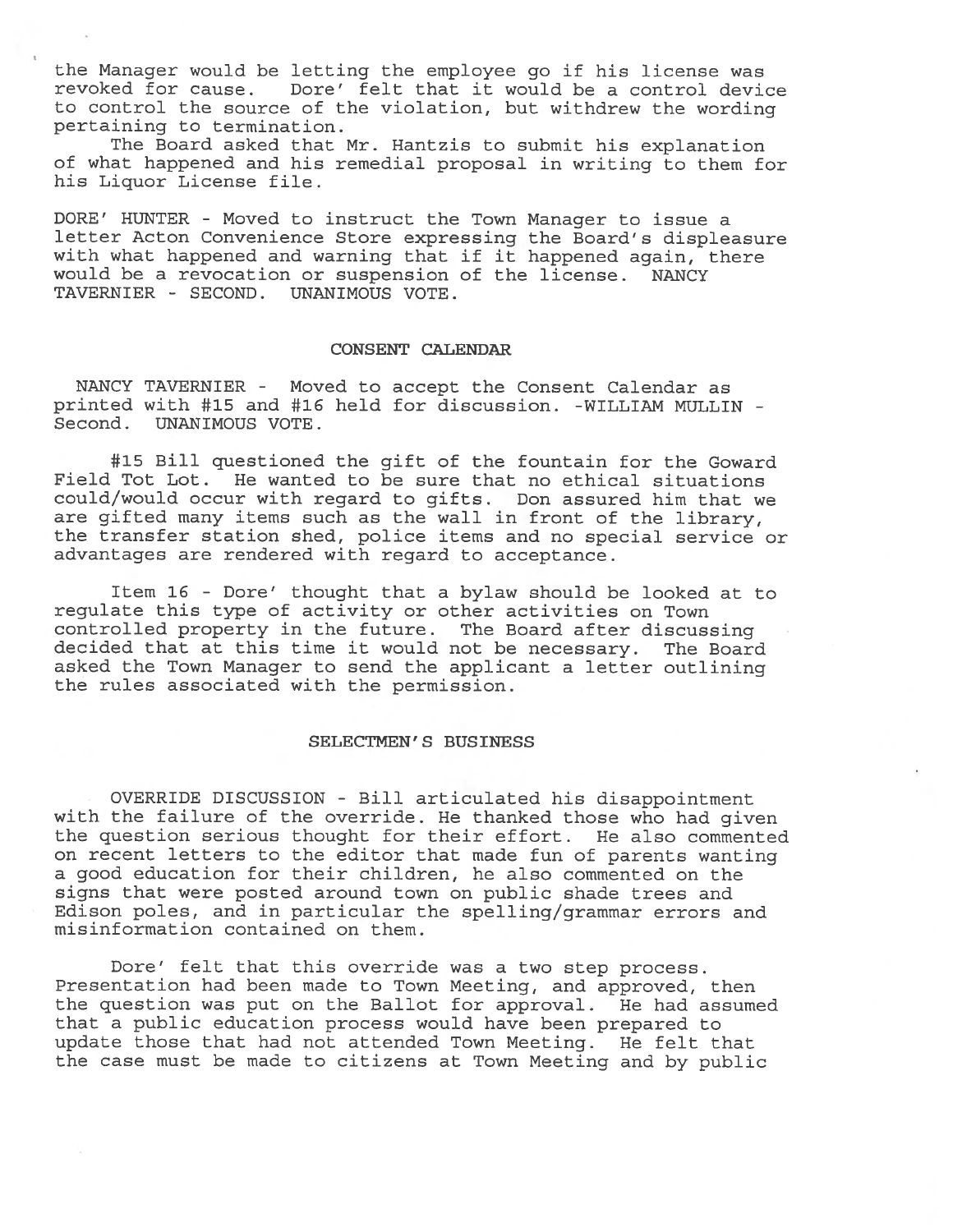the Manager would be letting the employee go if his license was revoked for cause. Dore' felt that it would be <sup>a</sup> control device to control the source of the violation, but withdrew the wording pertaining to termination.

The Board asked that Mr. Hantzis to submit his explanation of what happened and his remedial proposa<sup>l</sup> in writing to them for his Liquor License file.

DORE' HUNTER - Moved to instruct the Town Manager to issue <sup>a</sup> letter Acton Convenience Store expressing the Board's displeasure with what happened and warning that if it happened again, there would be <sup>a</sup> revocation or suspension of the license. NANCY TAVERNIER - SECOND. UNANIMOUS VOTE.

#### CONSENT CALENDAR

NANCY TAVERNIER - Moved to accep<sup>t</sup> the Consent Calendar as printed with #15 and #16 held for discussion. -WILLIAM MULLIN - Second. UNANIMOUS VOTE.

#15 Bill questioned the gift of the fountain for the Goward Field Tot Lot. He wanted to be sure that no ethical situations could/would occur with regard to gifts. Don assured him that we are <sup>g</sup>ifted many items such as the wall in front of the library, the transfer station shed, police items and no special service or advantages are rendered with regard to acceptance.

Item 16 - Dore' thought that <sup>a</sup> bylaw should be looked at to regulate this type of activity or other activities on Town controlled property in the future. The Board after discussing decided that at this time it would not be necessary. The Board asked the Town Manager to send the applicant <sup>a</sup> letter outlining the rules associated with the permission.

#### SELECTMEN' S BUSINESS

OVERRIDE DISCUSSION - Bill articulated his disappointment with the failure of the override. He thanked those who had <sup>g</sup>iven the question serious thought for their effort. He also commented on recent letters to the editor that made fun of parents wanting <sup>a</sup> good education for their children, he also commented on the signs that were posted around town on public shade trees and Edison poles, and in particular the spelling/grammar errors and misinformation contained on them.

Dore' felt that this override was <sup>a</sup> two step process. Presentation had been made to Town Meeting, and approved, then the question was put on the Ballot for approval. He had assumed that <sup>a</sup> public education process would have been prepared to update those that had not attended Town Meeting. He felt that the case must be made to citizens at Town Meeting and by public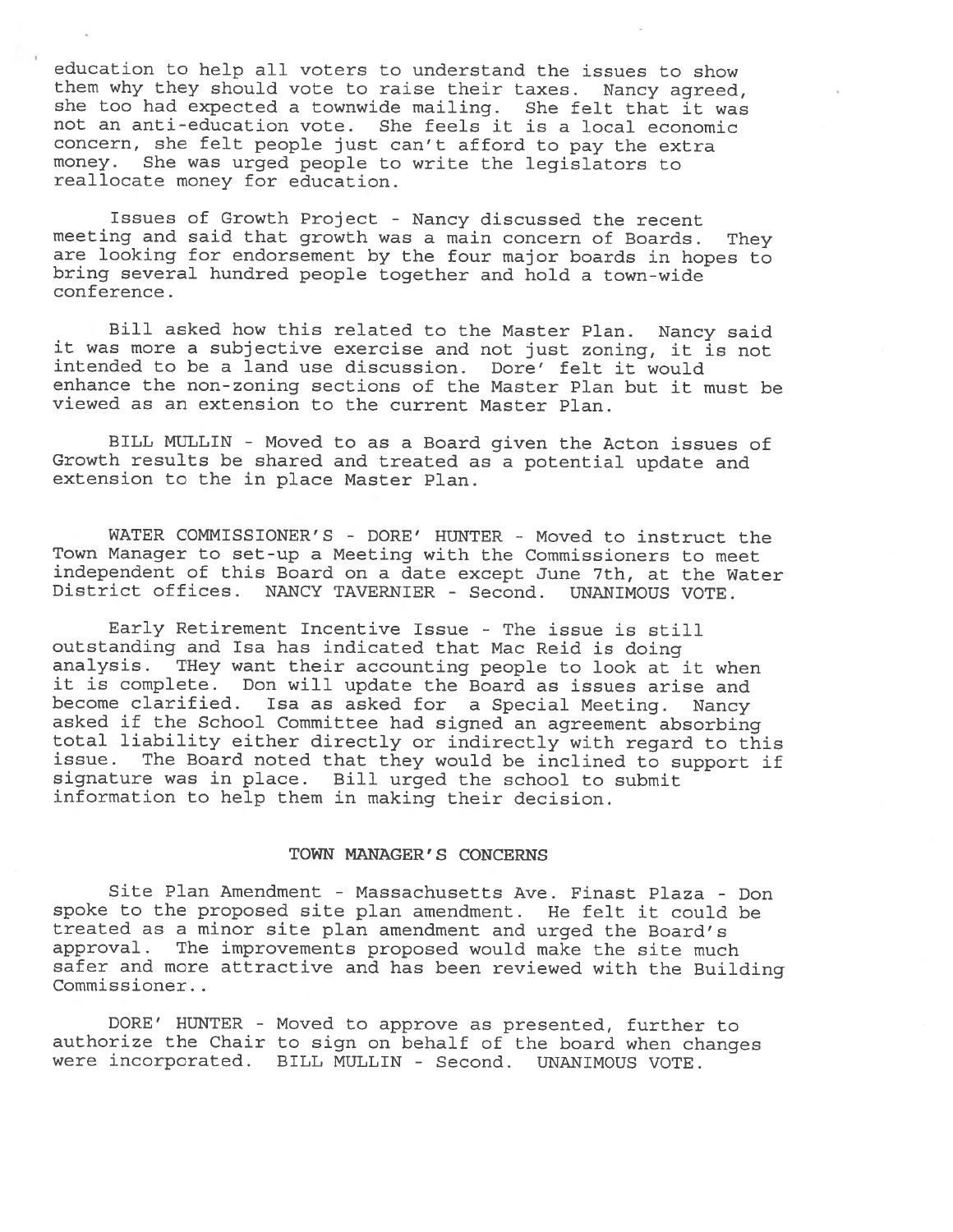education to help all voters to understand the issues to show them why they should vote to raise their taxes. Nancy agreed, she too had expected <sup>a</sup> townwide mailing. She felt that it was not an anti-education vote. She feels it is <sup>a</sup> local economic concern, she felt people just can't afford to pay the extra money. She was urge<sup>d</sup> people to write the legislators to reallocate money for education.

Issues of Growth Project - Nancy discussed the recent meeting and said that growth was <sup>a</sup> main concern of Boards. They are looking for endorsement by the four major boards in hopes to bring several hundred people together and hold <sup>a</sup> town-wide conference.

Bill asked how this related to the Master Plan. Nancy said it was more <sup>a</sup> subjective exercise and not just zoning, it is not intended to be <sup>a</sup> land use discussion. Dore' felt it would enhance the non-zoning sections of the Master Plan but it must be viewed as an extension to the current Master Plan.

BILL MULLIN - Moved to as <sup>a</sup> Board <sup>g</sup>iven the Acton issues of Growth results be shared and treated as <sup>a</sup> potential update and extension to the in place Master Plan.

WATER COMMISSIONER'S - DORE' HUNTER - Moved to instruct the Town Manager to set-up <sup>a</sup> Meeting with the Commissioners to meet independent of this Board on <sup>a</sup> date excep<sup>t</sup> June 7th, at the Water District offices. NANCY TAVERNIER - Second. UNANIMOUS VOTE.

Early Retirement Incentive Issue - The issue is still outstanding and Isa has indicated that Mac Reid is doing analysis. THey want their accounting people to look at it when it is complete. Don will update the Board as issues arise and become clarified. Isa as asked for <sup>a</sup> Special Meeting. Nancy asked if the School Committee had signed an agreemen<sup>t</sup> absorbing total liability either directly or indirectly with regar<sup>d</sup> to this issue. The Board noted that they would be inclined to suppor<sup>t</sup> if signature was in <sup>p</sup>lace. Bill urge<sup>d</sup> the school to submit information to help them in making their decision.

#### TOWN MANAGER' S CONCERNS

Site Plan Amendment - Massachusetts Ave. Finast Plaza - Don spoke to the proposed site <sup>p</sup>lan amendment. He felt it could be treated as <sup>a</sup> minor site <sup>p</sup>lan amendment and urge<sup>d</sup> the Board's approval. The improvements proposed would make the site much safer and more attractive and has been reviewed with the Building Commissioner.

DORE' HUNTER - Moved to approve as presented, further to authorize the Chair to sign on behalf of the board when changes were incorporated. BILL MULLIN - Second. UNANIMOUS VOTE.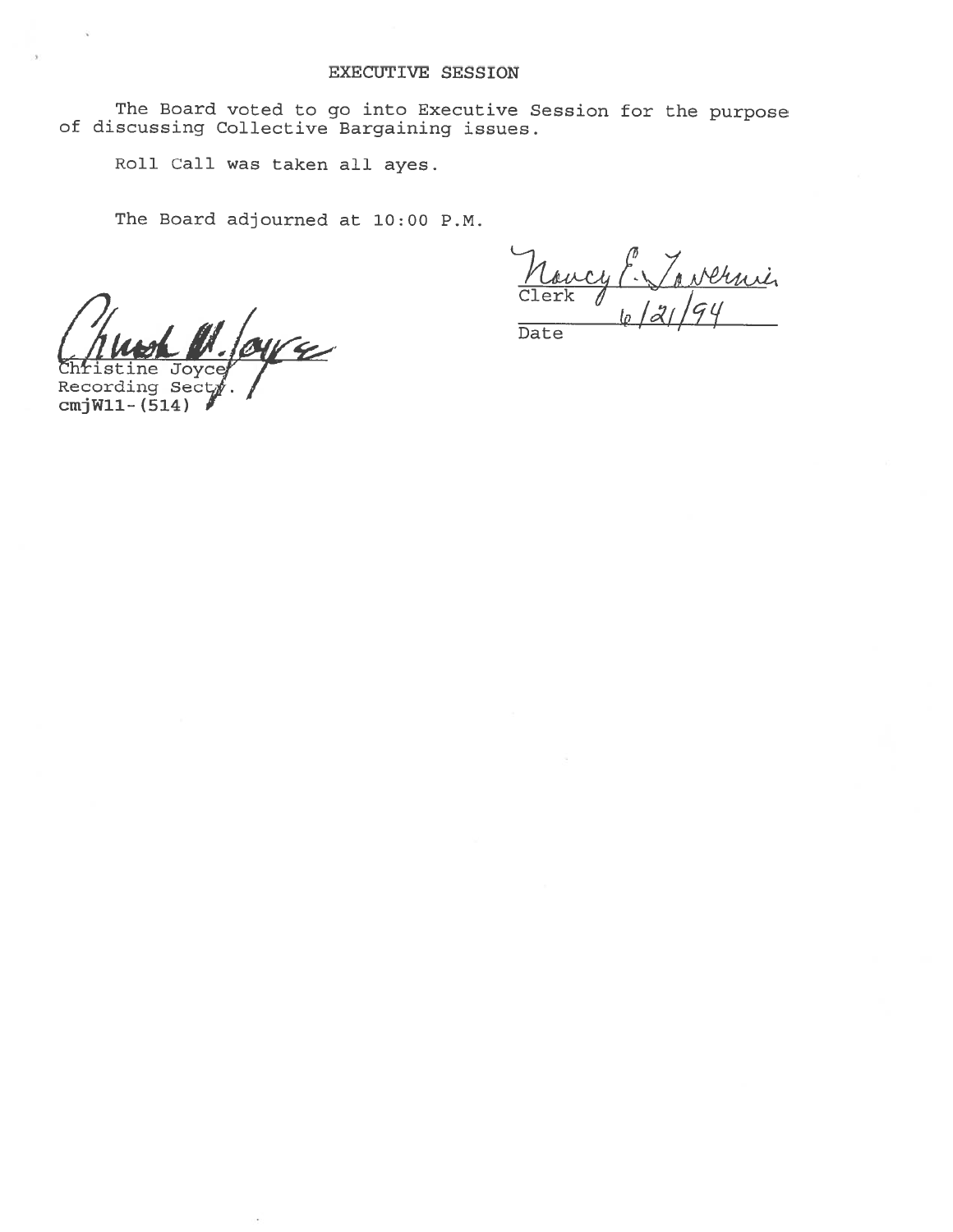The Board voted to go into Executive Session for the purpose of discussing Collective Bargaining issues.

Roll Call was taken all ayes.

The Board adjourned at 10:00 P.M.

 $\overline{\mathcal{L}}$ ne Joyce

Recording Sec cmjWll- (514)

<u>Nervin</u> Clerk (p Date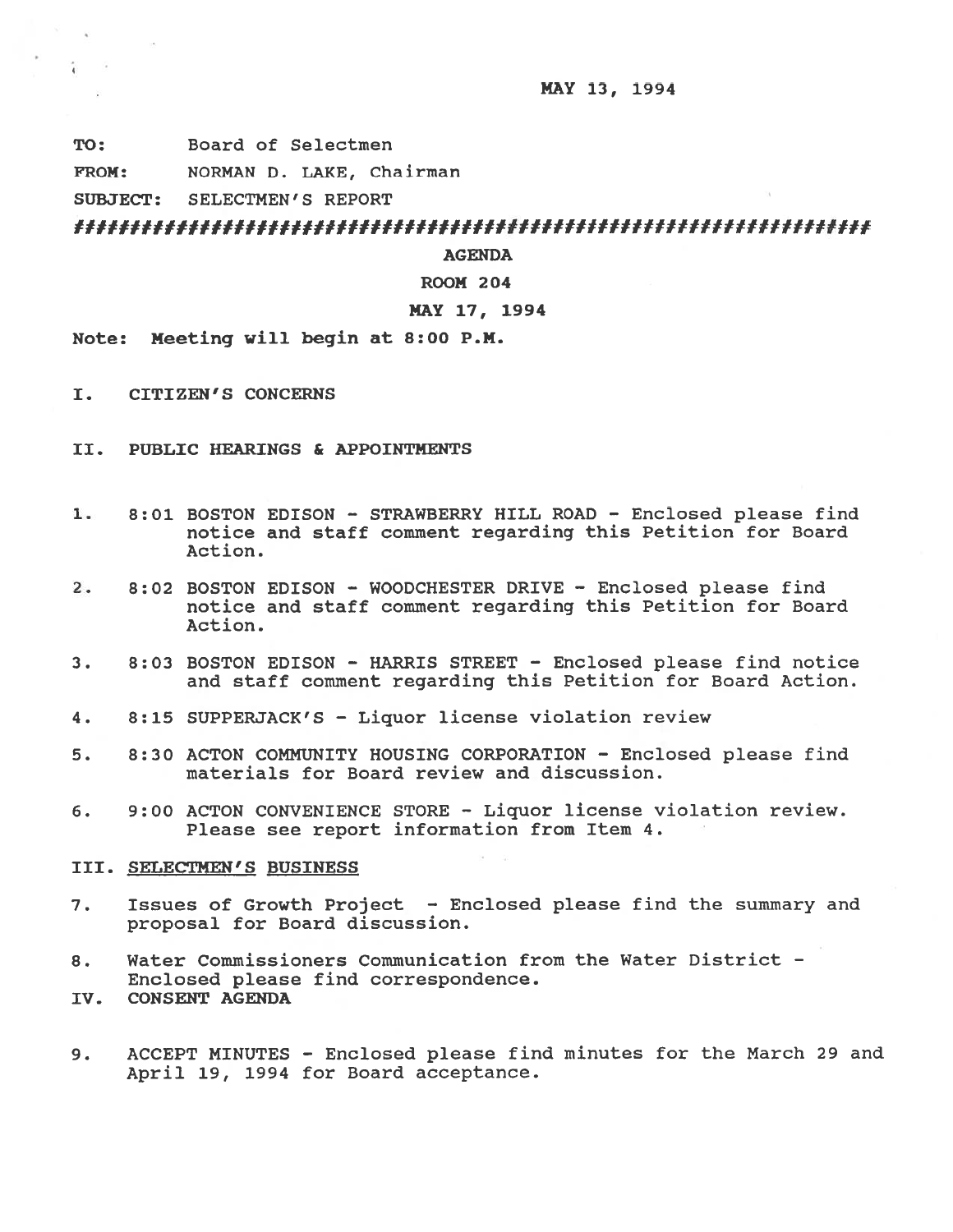MAY 13, 1994

TO: Board of Selectmen

FROM: NORMAN D. LAKE, Chairman

SUBJECT: SELECTMEN'S REPORT

 $\ddot{i}$ - 32

AGENDA

ROOM 204

# MAY 17, 1994

Mote: Meeting will begin at 8:00 P.M.

- I. CITIZEN'S CONCERNS
- II. PUBLIC HEARINGS & APPOINTMENTS
- 1. 8:01 BOSTON EDISON STRAWBERRY HILL ROAD Enclosed please find notice and staff comment regarding this Petition for Board Action.
- 2. 8:02 BOSTON EDISON WOODCHESTER DRIVE Enclosed please find notice and staff comment regarding this Petition for Board Action.
- 3. 8:03 BOSTON EDISON HARRIS STREET Enclosed please find notice and staff comment regarding this Petition for Board Action.
- 4. 8:15 SUPPERJACK'S Liquor license violation review
- 5. 8:30 ACTON COMMUNITY HOUSING CORPORATION Enclosed please find materials for Board review and discussion.
- 6. 9:00 ACTON CONVENIENCE STORE Liquor license violation review. Please see repor<sup>t</sup> information from Item 4.

III. SELECTMEN'S BUSINESS

- 7. Issues of Growth Project Enclosed please find the summary and proposal for Board discussion.
- 8. Water Commissioners Communication from the Water District Enclosed please find correspondence.
- IV. CONSENT AGENDA
- 9. ACCEPT MINUTES Enclosed please find minutes for the March 29 and April 19, 1994 for Board acceptance.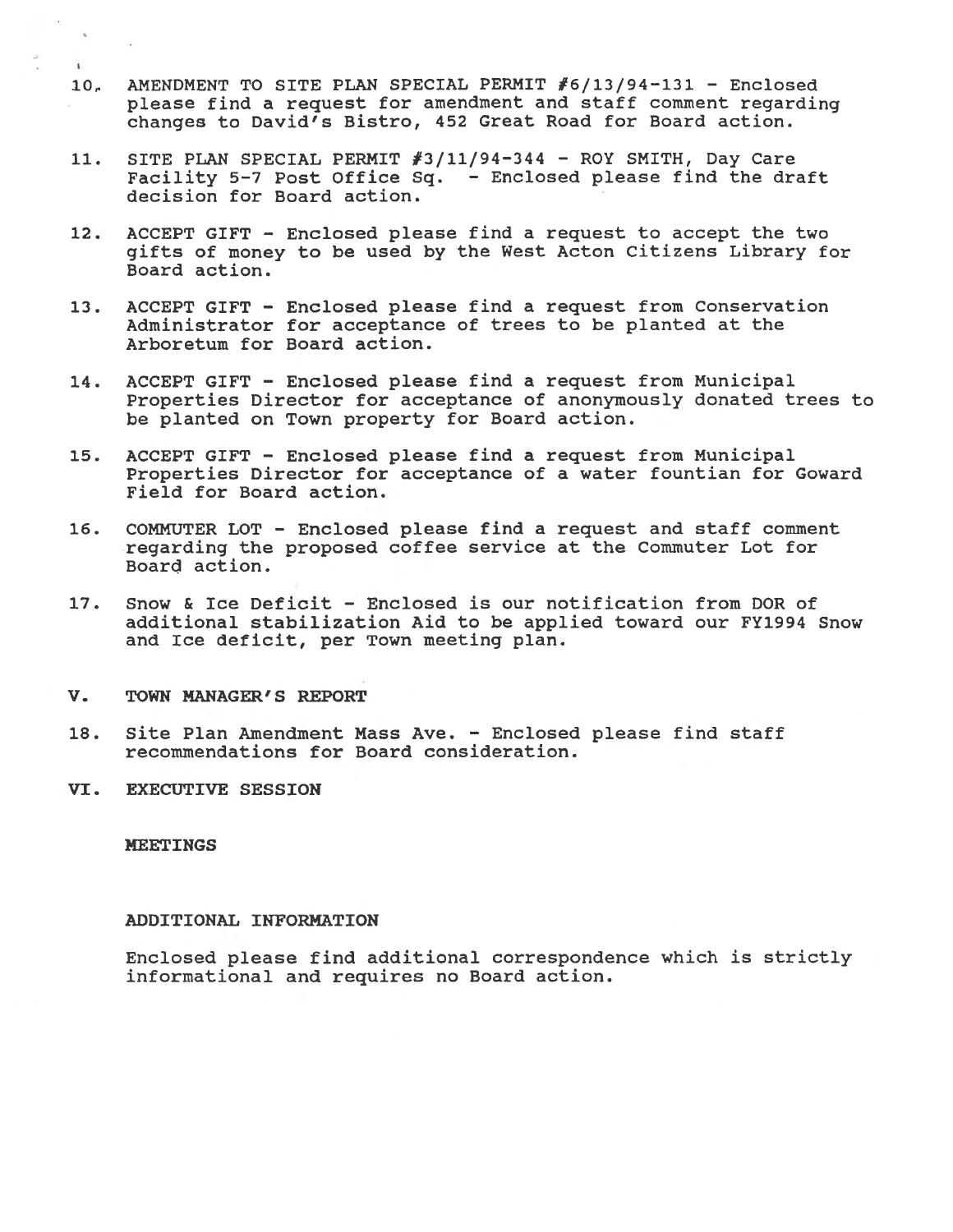- 1O. AMENDMENT TO SITE PLAN SPECIAL PERMIT #6/13/94-131 Enclosed <sup>p</sup>lease find <sup>a</sup> reques<sup>t</sup> for amendment and staff comment regarding changes to David's Bistro, 452 Great Road for Board action.
- 11. SITE PLAN SPECIAL PERMIT #3/11/94-344 ROY SMITH, Day Care Facility 5-7 Post Office Sq. - Enclosed please find the draft decision for Board action.
- 12. ACCEPT GIFT Enclosed please find <sup>a</sup> reques<sup>t</sup> to accep<sup>t</sup> the two <sup>g</sup>ifts of money to be used by the West Acton Citizens Library for Board action.
- 13. ACCEPT GIFT Enclosed please find <sup>a</sup> reques<sup>t</sup> from Conservation Administrator for acceptance of trees to be planted at the Arboretum for Board action.
- 14. ACCEPT GIFT Enclosed please find <sup>a</sup> reques<sup>t</sup> from Municipal Properties Director for acceptance of anonymously donated trees to be planted on Town property for Board action.
- 15. ACCEPT GIFT Enclosed please find <sup>a</sup> reques<sup>t</sup> from Municipal Properties Director for acceptance of a water fountian for Goward Field for Board action.
- 16. COMMUTER LOT Enclosed please find a request and staff comment regarding the proposed coffee service at the Commuter Lot for Board action.
- 17. Snow & Ice Deficit Enclosed is our notification from DOR of additional stabilization Aid to be applied toward our FY1994 Snow and Ice deficit, per Town meeting plan.
- V. TOWN MANAGER'S REPORT
- 18. Site Plan Amendment Mass Ave. Enclosed please find staff recommendations for Board consideration.
- VI. EXECUTIVE SESSION

### NEETINGS

 $\sim$ 

 $\mathbf{I}$ 

#### ADDITIONAL INEORMATION

Enclosed please find additional correspondence which is strictly informational and requires no Board action.